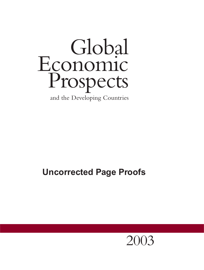# Global Economic Prospects and the Developing Countries

# **Uncorrected Page Proofs**

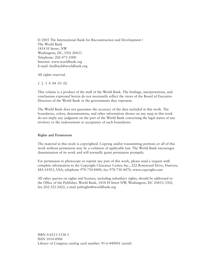© 2003 The International Bank for Reconstruction and Development / The World Bank 1818 H Street, NW Washington, DC, USA 20433 Telephone: 202-473-1000 Internet: www.worldbank.org E-mail: feedback@worldbank.org

All rights reserved.

1 2 3 4 04 03 02

This volume is a product of the staff of the World Bank. The findings, interpretations, and conclusions expressed herein do not necessarily reflect the views of the Board of Executive Directors of the World Bank or the governments they represent.

The World Bank does not guarantee the accuracy of the data included in this work. The boundaries, colors, denominations, and other information shown on any map in this work do not imply any judgment on the part of the World Bank concerning the legal status of any territory or the endorsement or acceptance of such boundaries.

#### **Rights and Permissions**

The material in this work is copyrighted. Copying and/or transmitting portions or all of this work without permission may be a violation of applicable law. The World Bank encourages dissemination of its work and will normally grant permission promptly.

For permission to photocopy or reprint any part of this work, please send a request with complete information to the Copyright Clearance Center, Inc., 222 Rosewood Drive, Danvers, MA 01923, USA, telephone 978-750-8400, fax 978-750-4470, www.copyright.com

All other queries on rights and licenses, including subsidiary rights, should be addressed to the Office of the Publisher, World Bank, 1818 H Street NW, Washington, DC 20433, USA, fax 202-522-2422, e-mail pubrights@worldbank.org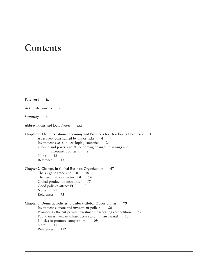# **Contents**

| Foreword        | ix                                                                                                                                                                                                                                                                                                                                 |
|-----------------|------------------------------------------------------------------------------------------------------------------------------------------------------------------------------------------------------------------------------------------------------------------------------------------------------------------------------------|
| Acknowledgments | xi                                                                                                                                                                                                                                                                                                                                 |
| Summary         | xiii                                                                                                                                                                                                                                                                                                                               |
|                 | Abbreviations and Data Notes<br>xxi                                                                                                                                                                                                                                                                                                |
| <b>Notes</b>    | Chapter 1 The International Economy and Prospects for Developing Countries<br>$\mathbf{1}$<br>A recovery constrained by major risks<br>4<br>Investment cycles in developing countries<br>24<br>Growth and poverty to 2015: coming changes in savings and<br>29<br>investment patterns<br>42<br>References<br>43                    |
| <b>Notes</b>    | Chapter 2 Changes in Global Business Organization<br>47<br>The surge in trade and FDI<br>48<br>The rise in service sector FDI<br>54<br>Global production networks<br>57<br>Good policies attract FDI<br>68<br>71<br>References<br>73                                                                                               |
| <b>Notes</b>    | Chapter 3 Domestic Policies to Unlock Global Opportunities<br>79<br>Investment climate and investment policies<br>80<br>Promoting efficient private investment: harnessing competition<br>87<br>Public investment in infrastructure and human capital<br>105<br>Policies to promote competition<br>109<br>111<br>References<br>112 |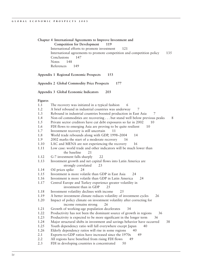**Chapter 4 International Agreements to Improve Investment and Competition for Development 119** International efforts to promote investment 121 International agreements to promote competition and competition policy 135 Conclusions 147 Notes 148 References 149 **Appendix 1 Regional Economic Prospects 153 Appendix 2 Global Commodity Price Prospects 177 Appendix 3 Global Economic Indicators 203 Figures** 1.1 The recovery was initiated in a typical fashion 6 1.2 A brief rebound in industrial countries was underway 7 1.3 Rebound in industrial countries boosted production in East Asia 7 1.4 Non-oil commodities are recovering ... but stand well below previous peaks 8 1.5 Private sector creditors have cut debt exposures so far in 2002 10 1.6 FDI flows to emerging Asia are proving to be quite resilient 10 1.7 Investment recovery is still uncertain 11 1.8 World trade rebounds along with GDP, 1998–2004 14 1.9 2002 marks the start of a moderate recovery 16 1.10 LAC and MENA are not experiencing the recovery 16 1.11 Low case: world trade and other indicators will be much lower than the baseline 21 1.12 G-7 investment falls sharply 22 1.13 Investment growth and net capital flows into Latin America are strongly correlated 23 1.14 Oil prices spike 24 1.15 Investment is more volatile than GDP in East Asia 24 1.16 Investment is more volatile than GDP in Latin America 24 1.17 Central Europe and Turkey experience greater volatility in investment than in GDP 25 1.18 Investment volatility declines with income 25 1.19 A better investment climate reduces volatility of investment cycles 26 1.20 Impact of policy climate on investment volatility after correcting for income remains strong 26 1.21 Growth of working-age population decelerates 34 1.22 Productivity has not been the dominant source of growth in regions 36 1.23 Productivity is expected to be more significant in the longer term 36 1.24 Major structural shifts in investment and savings behavior have occurred 38 1.25 Youth dependency ratio will fall everywhere except Japan 40 1.26 Elderly dependency ratios will rise in some regions 40 2.1 Exports-to-GDP ratios have increased since the 1970s 49 2.2 All regions have benefited from rising FDI flows 49 2.3 FDI in developing countries is concentrated 50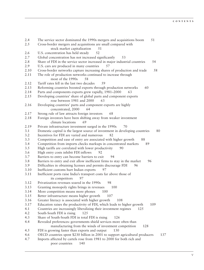2.4 The service sector dominated the 1990s mergers and acquisitions boom 51 2.5 Cross-border mergers and acquisitions are small compared with stock market capitalization 51 2.6 U.S. concentration has held steady 52 2.7 Global concentration has not increased significantly 53 2.8 Share of FDI in the service sector increased in major industrial countries 54 2.9 U.S. cars are produced in many countries 57 2.10 Cross-border networks capture increasing shares of production and trade 58 2.11 The role of production networks continued to increase through most of the 1990s 58 2.12 Tariff rates fell in the last two decades 59 2.13 Reforming countries boosted exports through production networks 60 2.14 Parts and components exports grew rapidly, 1981–2000 63 2.15 Developing countries' share of global parts and component exports rose between 1981 and 2000 63 2.16 Developing countries' parts and component exports are highly concentrated, 2000 64 2.17 Strong rule of law attracts foreign investors 68 2.18 Foreign investors have been shifting away from weaker investment climate locations 69 2.19 Private infrastructure investment surged in the 1990s 70 3.1 Domestic capital is the largest source of investment in developing countries 80 3.2 Incentives for FDI are varied and numerous 82 3.3 Competition and ease of entry are associated with higher growth 88 3.4 Competition from imports checks markups in concentrated markets 89 3.5 High tariffs are correlated with lower productivity 90 3.6 High entry costs inhibit FDI inflows 3.7 Barriers to entry can become barriers to exit 94 3.8 Barriers to entry and exit allow inefficient firms to stay in the market 96 3.9 Difficulties in obtaining licenses and permits discourage FDI 3.10 Inefficient customs hurt Indian exports 97 3.11 Inefficient ports raise India's transport costs far above those of its competitors 97 3.12 Privatization revenues soared in the 1990s 98 3.13 Granting monopoly rights brings in revenues 100 3.14 More competition means more phones 100 3.15 Better infrastructure means higher growth 107 3.16 Greater literacy is associated with higher growth 108 3.17 Education raises the productivity of FDI, which leads to higher growth 109 4.1 Countries are increasingly liberalizing their investment regimes 125 4.2 South-South FDI is rising 125 4.3 Share of South-South FDI in total FDI is rising 126 4.4 Revealed preferences: governments shield services more often than manufacturing from the winds of investment competition 128 4.5 FDI is growing faster than exports and output 130 4.6 OECD countries spent \$230 billion in 2001 to support agricultural producers 137 4.7 Imports affected by cartels rose from 1981 to 2000 for both rich and poor countries 140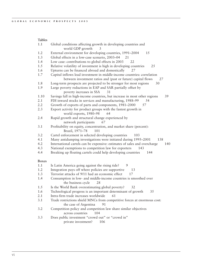#### **Tables**

| 1.1          | Global conditions affecting growth in developing countries and<br>world GDP growth<br>3       |
|--------------|-----------------------------------------------------------------------------------------------|
| 1.2          | External environment for developing countries, 1991-2004<br>15                                |
| 1.3          | Global effects in a low-case scenario, 2003-04<br>21                                          |
| 1.4          | Low case: contributions to global effects in 2003<br>22                                       |
| 1.5          | Relative volatility of investment is high in developing countries<br>25                       |
| 1.6          | Upturns can be financed abroad and domestically<br>27                                         |
| 1.7          | Capital inflows lead investment in middle-income countries: correlation                       |
|              | between investment ratios and (past or future) capital flows<br>27                            |
| 1.8          | Long-term prospects are projected to be stronger for most regions<br>30                       |
| 1.9          | Large poverty reductions in EAP and SAR partially offset by<br>poverty increases in SSA<br>31 |
| 1.10         | Savings fall in high-income countries, but increase in most other regions<br>39               |
| 2.1          | FDI inward stocks in services and manufacturing, 1988-99<br>54                                |
| 2.2          | Growth of exports of parts and components, 1981-2000<br>57                                    |
| 2.3          | Export activity for product groups with the fastest growth in                                 |
|              | world exports, 1980-98<br>64                                                                  |
| 2.4          | Rapid growth and structural change experienced by                                             |
|              | network participants<br>67                                                                    |
| 3.1          | Profitability on equity, concentration, and market share (percent):<br>Brazil, 1971-78<br>101 |
| 3.2          | Cartel enforcement in selected developing countries<br>103                                    |
| 4.1          | Many antidumping investigations were initiated during 1995-2001<br>138                        |
| 4.2          | International cartels can be expensive: estimates of sales and overcharge<br>140              |
| 4.3          | National exemptions to competition law for exporters<br>143                                   |
| 4.4          | Breaking up floating cartels could help developing countries<br>144                           |
| <b>Boxes</b> |                                                                                               |
| 1.1          | 9<br>Is Latin America going against the rising tide?                                          |
| 1.2          | Integration pays off where policies are supportive<br>13                                      |
| 1.3          | Terrorist attacks of 9/11 had an economic effect<br>17                                        |
| 1.4          | Consumption in low- and middle-income countries is smoothed over<br>the business cycle<br>28  |
| 1.5          | Is the World Bank overestimating global poverty?<br>32                                        |
| 1.6          | 35<br>Technological progress is an important determinant of growth                            |
| 2.1          | Intra-firm trade increases worldwide<br>61                                                    |
| 3.1          | Trade restrictions shield MNCs from competitive forces at enormous cost:                      |
|              | the case of Argentina<br>91                                                                   |
| 3.2          | Competition policy and competition law share similar objectives                               |
|              | 104<br>across countries                                                                       |
| 3.3          | Does public investment "crowd out" or "crowd in"<br>private investment?<br>106                |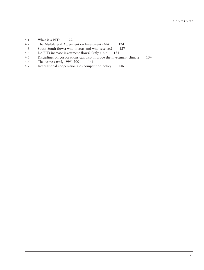- 4.1 What is a BIT? 122
- 4.2 The Multilateral Agreement on Investment (MAI) 124<br>4.3 South-South flows: who invests and who receives? 127
- 4.3 South-South flows: who invests and who receives? 127<br>4.4 Do BITs increase investment flows? Only a bit 131
- 4.4 Do BITs increase investment flows? Only a bit 131<br>4.5 Disciplines on corporations can also improve the invest
- Disciplines on corporations can also improve the investment climate 134
- 4.6 The lysine cartel, 1995–2001 141
- 4.7 International cooperation aids competition policy 146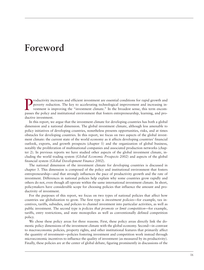### **Foreword**

Productivity increases and efficient investment are essential conditions for rapid growth and<br>poverty reduction. The key to accelerating technological improvement and increasing in-<br>vestment is improving the "investment cl poverty reduction. The key to accelerating technological improvement and increasing investment is improving the "investment climate." In the broadest sense, this term encompasses the policy and institutional environment that fosters entrepreneurship, learning, and productive investment.

In this report, we argue that the investment climate for developing countries has both a global dimension and a national dimension. The global investment climate, although less amenable to policy initiatives of developing countries, nonetheless presents opportunities, risks, and at times obstacles for developing countries. In this report, we focus on two aspects of the global investment climate: the current state of the world economy as it affects developing countries' financial outlook, exports, and growth prospects (chapter 1) and the organization of global business, notably the proliferation of multinational companies and associated production networks (chapter 2). In previous reports we have studied other aspects of the global investment climate, including the world trading system (*Global Economic Prospects 2002*) and aspects of the global financial system (*Global Development Finance 2002*).

The national dimension of the investment climate for developing countries is discussed in chapter 3. This dimension is composed of the policy and institutional environment that fosters entrepreneurship—and that strongly influences the pace of productivity growth and the rate of investment. Differences in national policies help explain why some countries grow rapidly and others do not, even though all operate within the same international investment climate. In short, policymakers have considerable scope for choosing policies that influence the amount and productivity of investment.

For the purposes of this report, we focus on two types of national policies that affect how countries use globalization to grow. The first type is *investment policies*—for example, tax incentives, tariffs, subsidies, and policies to channel investment into particular activities, as well as public investment. The second type is *policies that promote or limit competition—*for example, tariffs, entry restrictions, and state monopolies as well as conventionally defined competition policy.

We chose these policy areas for three reasons. First, these policy areas directly link the domestic policy dimensions of the investment climate with the global economy. Second—in contrast to macroeconomic policies, property rights, and other institutional features that primarily affect the quantity of investment—policies fostering investment and competition work instead through microeconomic incentives to influence the quality of investment (as measured by its productivity). Finally, these policies are at the center of global debate, figuring prominently in discussions of the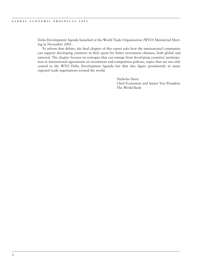Doha Development Agenda launched at the World Trade Organization (WTO) Ministerial Meeting in November 2001.

To inform that debate, the final chapter of this report asks how the international community can support developing countries in their quest for better investment climates, both global and national. The chapter focuses on synergies that can emerge from developing countries' participation in international agreements on investment and competition policies, topics that are not only central to the WTO Doha Development Agenda but that also figure prominently in many regional trade negotiations around the world.

> Nicholas Stern Chief Economist and Senior Vice President The World Bank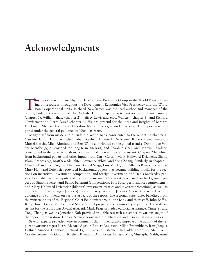### **Acknowledgments**

This report was prepared by the Development Prospects Group in the World Bank, draw-<br>ing on resources throughout the Development Economics Vice Presidency and the World<br>Bank's operational units. Richard Newfarmer was the l ing on resources throughout the Development Economics Vice Presidency and the World Bank's operational units. Richard Newfarmer was the lead author and manager of the report, under the direction of Uri Dadush. The principal chapter authors were Hans Timmer (chapter 1), William Shaw (chapter 2), Jeffrey Lewis and Scott Wallsten (chapter 3), and Richard Newfarmer and Pierre Sauvé (chapter 4). We are grateful for the ideas and insights of Bernard Hoekman, Michael Klein, and Theodore Moran (Georgetown University). The report was prepared under the general guidance of Nicholas Stern.

Many staff from inside and outside the World Bank contributed to the report. In chapter 1, Caroline Farah, Himmat Kalsi, Robert Keyfitz, Annette I. De Kleine, Robert Lynn, Fernando Martel Garcia, Mick Riordan, and Bert Wolfe contributed to the global trends; Dominique Van der Mensbrugghe provided the long-term analysis; and Shaohua Chen and Martin Ravallion contributed to the poverty analysis; Kathleen Rollins was the staff assistant. Chapter 2 benefited from background papers and other inputs from Gary Gereffi, Mary Hallward-Driemeier, Shafiq Islam, Frances Ng, Matthew Slaughter, Lawrence White, and Yong Zhang. Similarly, in chapter 3, Claudio Frischtak, Rughvir Khemani, Kamal Saggi, Luis Villela, and Alberto Barreix as well as Mary Hallward-Driemeier provided background papers that became building blocks for the sections on incentives, investment, competition, and foreign investment, and Denis Medvedev provided valuable written inputs and research assistance. Chapter 4 was based on background papers by Simon Evenett and Benno Ferrarini (competition), Bijit Bora (performance requirements), and Mary Hallward-Driemeier (bilateral investment treaties and investor protections) as well as inputs from Shweta Bagai (various). Beata Smarzynska and Jacques Morisset provided helpful guidance and comments on various aspects of the report. The regional appendixes benefited from the written inputs of the Regional Chief Economists around the Bank and their staff. John Baffes, Betty Dow, Donald Mitchell, and Shane Streifel prepared the commodity appendix. The staff assistant for the report was Awatif Abuzeid. Mark Feige provided editorial assistance. Yinne Yu and Yong Zhang as well as Jonathan Koh provided valuable research assistance at various stages of the report's preparation. Dorota Nowak coordinated publication and dissemination activities.

Several experts provided written comments that immeasurably improved the quality of the report at various stages: Pierre-Richard Agenor, Robert Anderson, Milan Brahmbhatt, Jean-Jacques Dethier, Simeon Djankov, Richard Eglin, Antonio Estache, Shahrokh Fardoust, Alan Gelb, Coralie Gevers, Ian Goldin, Rughvir Khemani, Aart Kraay, Ernesto May, Mustapha Nabli, Anne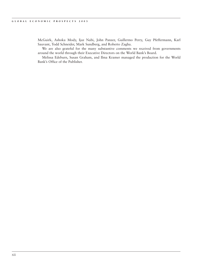McGuirk, Ashoka Mody, Ijaz Nabi, John Panzer, Guillermo Perry, Guy Pfeffermann, Karl Sauvant, Todd Schneider, Mark Sundberg, and Roberto Zagha.

We are also grateful for the many substantive comments we received from governments around the world through their Executive Directors on the World Bank's Board.

Melissa Edeburn, Susan Graham, and Ilma Kramer managed the production for the World Bank's Office of the Publisher.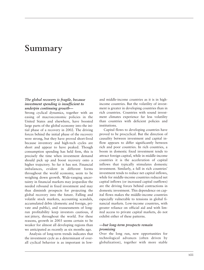### **Summary**

#### *The global recovery is fragile, because investment spending is insufficient to underpin continuing growth—*

Strong cyclical dynamics, together with an easing of macroeconomic policies in the United States and elsewhere, have boosted large parts of the global economy into the initial phase of a recovery in 2002. The driving forces behind the initial phase of the recovery were strong, but they have proved short-lived because inventory and high-tech cycles are short and appear to have peaked. Though consumption spending has held firm, this is precisely the time when investment demand should pick up and boost recovery onto a higher trajectory. So far it has not. Financial imbalances, evident in different forms throughout the world economy, seem to be weighing down growth. Wide-ranging uncertainty in financial markets may jeopardize the needed rebound in fixed investment and may thus diminish prospects for projecting the global recovery into the future. Falling and volatile stock markets, accounting scandals, accumulated debts (domestic and foreign, private and public), and reassessments of longrun profitability keep investors cautious, if not jittery, throughout the world. For these reasons, growth in 2003 seems certain to be weaker for almost all developing regions than we anticipated as recently as six months ago.

Analysis of long-term trends indicates that the investment cycle as a determinant of overall cyclical behavior is as important in lowand middle-income countries as it is in highincome countries. But the volatility of investment is greater in developing countries than in rich countries. Countries with sound investment climates experience far less volatility than countries with deficient policies and institutions.

Capital flows to developing countries have proved to be procyclical. But the direction of causality between investment and capital inflow appears to differ significantly between rich and poor countries. In rich countries, a boom in domestic fixed investment tends to attract foreign capital, while in middle-income countries it is the acceleration of capital inflows that typically stimulates domestic investment. Similarly, a fall in rich countries' investment tends to reduce net capital inflows, while for middle-income countries reduced net capital inflows (or increased capital outflows) are the driving forces behind contractions in domestic investment. This dependence on capital flows makes the middle-income countries especially vulnerable to tensions in global financial markets. Low-income countries, with greater reliance on official aid and with limited access to private capital markets, do not exhibit either of these patterns.

#### *—but long-term prospects remain promising*

Over the long run, new opportunities for technological advances (often driven by globalization), together with more stable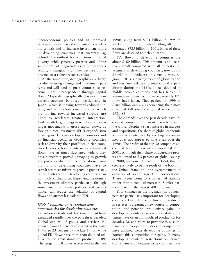macroeconomic policies and an improved business climate, have the potential to accelerate growth and to increase investment ratios in developing countries that currently lag behind. The outlook for reductions in global poverty, while generally positive and of the same order of magnitude as in our previous report, is marginally dimmer because of the absence of a robust recovery today.

At the same time, demographics are likely to alter existing savings and investment patterns and will tend to push countries to become more interdependent through capital flows. Major demographically driven shifts in current account balances—particularly in Japan, which is moving toward reduced surplus, and in middle-income countries, which are moving toward increased surplus—are likely to accelerate financial integration. Underneath large swings in net flows are even larger movements of gross capital flows, as foreign direct investment (FDI) expands into growing markets in developing countries and as financial agents in developing countries seek to diversify their portfolios in rich countries. However, because international financial flows have at times fluctuated widely, they have sometimes proved damaging to growth and poverty reduction. The international community and developing countries have to search for mechanisms to provide greater stability in integration. Developing countries can do much on their own. Improving the domestic investment climate, particularly through sound macroeconomic policies and governance, can reduce the volatility of capital flows and attract less-volatile FDI.

#### *Global competition is creating new opportunities for developing countries*

Cross-border trade and direct investment have expanded rapidly over the past three decades. Global exports of goods and services increased from 14 percent of output in the early 1970s to 23 percent by the late 1990s, while global FDI flows have more than doubled relative to the gross domestic product (GDP). The surge in FDI flows accelerated in the late 1990s, rising from \$331 billion in 1995 to \$1.3 trillion in 2000, before falling off to an estimated \$725 billion in 2001. Most of these flows are destined to rich countries.

FDI flows to developing countries are about \$160 billion. This amount is still relatively small compared with all domestic investment in developing countries, now about \$1 trillion. Nonetheless, in virtually every region, FDI is a driving force of globalization and has risen relative to total capital expenditures during the 1990s. It has doubled in middle-income countries and has tripled in low-income countries. However, recently FDI flows have fallen. They peaked in 1999 at \$184 billion and are experiencing their most sustained fall since the global recession of 1981–83.

These trends over the past decade have increased competition in most markets around the world. Despite a sharp increase in mergers and acquisitions, the share of global economic activity accounted for by the largest companies does not appear to have risen over the 1990s. The profits of the top 50 companies accounted for 0.8 percent of world GDP in 2001. Although their share of aggregate profits amounted to 3.3 percent of global savings in 2000, up from 1.8 percent in 1994, this increase is likely to be the result of the boom in the United States and the overstatement of earnings of some large U.S. corporations. These factors point to a pattern of stability rather than a trend of increases. Similar patterns exist for the largest 500 companies.

Four changes in the organization of business are particularly important for developing countries. First, the rise of foreign investment in services is creating a new source of competition—and potential productivity gains—in developing countries, where staid state companies have often monopolized production for decades. Recent efforts to privatize these companies and to open industries to competition have allowed some developing countries to harness this competition for gains. In many developing countries, restrictions on services still remain high, because some countries have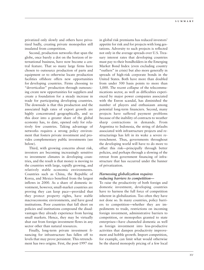privatized only slowly and others have privatized badly, creating private monopolies still insulated from competition.

Second, production networks that span the globe, once barely a dot on the horizon of international business, have now become a central feature. That so many large firms have chosen to outsource production of parts and equipment or to otherwise locate production facilities offshore offers new opportunities for developing countries. Firms choosing to "deverticalize" production through outsourcing create new opportunities for suppliers and create a foundation for a steady increase in trade for participating developing countries. The downside is that this production and the associated high rates of export growth are highly concentrated geographically, and so this door into a greater share of the global economy has, to date, opened only for relatively few countries. Taking advantage of networks requires a strong policy environment that fosters private investment and provides complementary public investments (see below).

Third, with growing concerns about risk, investors are becoming increasingly sensitive to investment climates in developing countries, and the result is that money is moving to the countries with large, rapidly growing, and relatively stable economic environments. Countries such as China, the Republic of Korea, and Mexico benefited from the largest inflows in 2000. As a share of domestic investment, however, small-market countries are proving they can keep pace—provided that they protect property rights, have stable macroeconomic environments, and have good institutions. Poor countries that fall short on policies and institutions compound the disadvantages they already experience from having small markets. Hence, they may be virtually shut out from foreign investment flows in any sector other than natural resources.

Finally, long-term private investment financing for infrastructure has fallen off to levels that may prove persistent. This retrenchment has two origins. First, the post-1997 rise in global risk premiums has reduced investors' appetite for risk and for projects with long gestations. Adversity to such projects is reflected not only in the average spreads over U.S. Treasury interest rates that developing countries must pay to their bondholders in the Emerging Market Bond Index (even excluding country "outliers" in crisis) but also more generally in spreads of high-risk corporate bonds in the United States. Both have more than doubled from under 500 basis points to more than 1,000. The recent collapse of the telecommunications sector, as well as difficulties experienced by major power companies associated with the Enron scandal, has diminished the number of players and enthusiasm among potential long-term financiers. Second, many projects have suffered payment problems because of the inability of contracts to weather sharp contractions in demands. From Argentina to Indonesia, the string of defaults associated with infrastructure projects and restructurings has left in its wake a severe retrenchment. Thus, governments throughout the developing world will have to do more to offset this risk—principally through better policies, and perhaps through a slowing of the retreat from government financing of infrastructure that has occurred under the banner of privatization.

#### *Harnessing globalization requires reducing barriers to competition—*

To raise the productivity of both foreign and domestic investment, developing countries have to harness the full force of competition inherent in globalization. Too often they have not done so. In many countries, policy barriers to competition—whether they are impediments to trade, restrictions on incoming foreign investment, administrative barriers to competition, or monopolies granted to state enterprises—have channeled domestic as well as foreign investment into less-productive activities that dampen productivity improvement and hobble growth. Import competition, for example, can limit what would otherwise be the shared monopoly pricing of a few local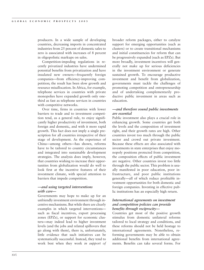producers. In a wide sample of developing countries, decreasing imports in concentrated industries from 25 percent of domestic sales to zero is associated with increases of 8 percent in oligopolistic markups on sales.

Competition-impeding regulations in recently privatized industries have undermined potential benefits from privatization and have insulated new owners—frequently foreign companies—from efficiency-improving competition; the result has been slow growth and resource misallocation. In Africa, for example, telephone services in countries with private monopolies have expanded growth only onethird as fast as telephone services in countries with competitive networks.

Over time, firms in countries with lower barriers to trade and to investment competition tend, as a general rule, to enjoy significantly higher productivity of investment, both foreign and domestic, and with it more rapid growth. This fact does not imply a single prescription for all countries irrespective of their stage of development. As the experience of China—among others—has shown, reforms have to be tailored to country circumstances and integrated into sustainable development strategies. The analysis does imply, however, that countries wishing to increase their opportunities from globalization would do well to look first at the incentive features of their investment climate, with special attention to barriers that impede competition.

#### *—and using targeted interventions with care—*

Governments may hope to make up for an unfriendly investment environment through incentive mechanisms. But while there are clearly examples in which targeted interventions such as fiscal incentives, export processing zones (EPZs), or support for economic clusters**—**may indeed lead to higher investment levels (and the jobs and related spillovers that go along with them), there is, unfortunately, little evidence that such initiatives can be systematically successful. Instead, they tend to work best when they work *in support of* broader reform packages, either to catalyze support for emerging opportunities (such as clusters) or to create transitional mechanisms and initial constituencies for reform that can be progressively expanded (such as EPZs). But more broadly, investment incentives will generally not make up for serious deficiencies in the investment environment or generate sustained growth. To encourage productive investment and benefit from globalization, governments must tackle the challenges of promoting competition and entrepreneurship and of undertaking complementarily productive public investment in areas such as education.

#### *—and therefore sound public investments are essential*

Public investment also plays a crucial role in enhancing growth. Some countries get both the levels and the composition of investment right, and their growth rates are high. Other countries invest too much through the public sector and crowd out private investment. Because these effects are also associated with investments in state enterprises that enjoy monopoly positions protected from competition, the composition effects of public investment are negative. Other countries invest too little through the public sector. This problem is usually manifested in poor education, poor infrastructure, and poor public institutions generally—all of which reduce profitable investment opportunities for both domestic and foreign companies. Investing in effective public institutions has an especially high return.

#### *International agreements on investment and competition policies can provide benefits through reciprocity—*

Countries get most of the positive growth stimulus from domestic unilateral reforms tailored to local strategy and conditions, and these reforms should not be held hostage to international agreements. Nonetheless, reforming governments may be able to obtain additional benefits from international agreements. Benefits can take several forms. For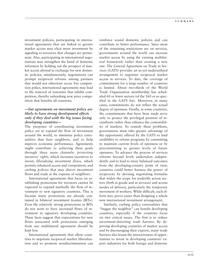investment policies, participating in international agreements that are linked to greater market access may elicit more investment by signaling to investors that changes are permanent. Also, participating in international negotiations may strengthen the hand of domestic reformers by holding out the prospect of market access abroad in exchange for new domestic policies; simultaneously, negotiations can prompt reciprocal reforms among partners that would not otherwise occur. For competition policy, international agreements may lead to the removal of restraints that inhibit competition, thereby unleashing new price competition that benefits all countries.

#### *—but agreements on investment policy are likely to have strong development effects only if they deal with the big issues facing developing countries—*

The purposes of coordinating investment policy are to expand the flow of investment around the world, to minimize policy externalities that hurt neighbors, and to help improve economic performance. Agreements might contribute to achieving these goals through three main channels: *protecting investors' rights,* which increases incentives to invest; *liberalizing investment flows,* which permits enhanced access and competition; and *curbing policies that may distort investment* flows and trade at the expense of neighbors.

International agreements that focus on establishing protections for investors cannot be expected to expand markedly the flow of investment to new signatory countries. This is because many protections are already contained in bilateral investment treaties (BITs). Even the relatively strong protections in BITs do not seem to have increased flows of investment to signatory developing countries. These facts suggest that expectations for new flows associated with protections emerging from any multilateral agreement should be kept low.

International agreements that allow countries to negotiate reciprocal market liberalization and to promote nondiscrimination can reinforce sound domestic policies and can contribute to better performance. Since most of the remaining restrictions are on services, governments around the world can increase market access by using the existing multilateral framework rather than creating a new one. The General Agreement on Trade in Services (GATS) provides an as-yet-underutilized arrangement to negotiate reciprocal market access in services. To date, the coverage of commitments for a large number of countries is limited. About two-thirds of the World Trade Organization membership has scheduled 60 or fewer sectors (of the 160 or so specified in the GATS list). Moreover, in many cases, commitments do not reflect the actual degree of openness. Finally, in some countries, the commitments that have been made serve only to protect the privileged position of incumbents rather than enhance the contestability of markets. To remedy these problems, governments must take greater advantage of the opportunity offered by the GATS to lend credibility to reform programs by committing to maintain current levels of openness or by precommitting to greater levels of future openness. To advance the process of services reforms beyond levels undertaken independently and to lead to more balanced outcomes from the developing-country point of view, countries could better harness the power of reciprocity by devising negotiating formulas that widen the scope for tradeoffs across sectors (both in goods and in services) and across modes of delivery, particularly the temporary movement of workers. While difficult, such efforts may prove easier than designing a whole new international investment arrangement.

Similarly, curbing policy externalities that "beggar thy neighbor" can benefit developing countries, especially if the countries focus on two critical issues. The first is to reduce *investment-distorting trade barriers*. By depriving developing countries of market access and by discouraging their exports, many trade barriers also lessen the attractiveness of opportunities to invest in developing countries' export industries for both foreign and domestic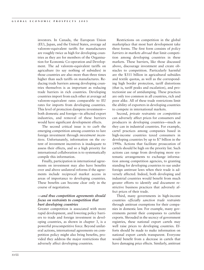investors. In Canada, the European Union (EU), Japan, and the United States, average ad valorem–equivalent tariffs for manufactures are roughly twice as high for developing countries as they are for members of the Organisation for Economic Co-operation and Development. The ad valorem–equivalent tariffs on agriculture (to say nothing of subsidies) in those countries are also more than three times higher than such tariffs on manufactures. Reducing trade barriers among developing countries themselves is as important as reducing trade barriers in rich countries. Developing countries import from each other at average ad valorem–equivalent rates comparable to EU rates for imports from developing countries. This level of protection dampens investment both domestic and foreign—in affected export industries, and removal of these barriers would have significant development effects.

The second critical issue is to curb the emerging competition among countries to lure foreign investment through *investment incentives*. Unfortunately, information on the extent of investment incentives is inadequate to assess their effects, and so a high priority for international collaboration is to systematically compile this information.

Finally, participation in international agreements on investment may also have benefits over and above unilateral reforms if the agreements include reciprocal market access in areas of importance to developing countries. These benefits can become clear only in the course of negotiation.

#### *—and thus competition agreements should focus on restraints to competition that hurt developing countries*

Greater competition is associated with more rapid development, and lowering policy barriers to trade and foreign investment in developing countries, as shown in chapter 3, is a powerful procompetitive force. Beyond unilateral actions, international agreements on competition policy might also bring benefits, provided they address the major restrictions that adversely affect developing countries.

Restrictions on competition in the global marketplace that most hurt development take three forms. The first form consists of *policy barriers in markets abroad* that limit competition among developing countries in these markets. These barriers, like those discussed above, discourage investment and create obstacles to competition. Particularly harmful are the \$311 billion in agricultural subsidies and textile quotas, as well as the corresponding high border protection, tariff distortions (that is, tariff peaks and escalation), and protectionist use of antidumping. These practices are only too common in all countries, rich and poor alike. All of these trade restrictions limit the ability of exporters in developing countries to compete in international markets.

Second, *private restraints on competition* can adversely affect prices for consumers and producers in developing countries—much as they can in industrial countries. For example, cartel practices among companies based in high-income countries taxed consumers in developing countries by up to \$7 billion in the 1990s. Actions that facilitate prosecution of cartels should be high on the priority list. Such actions can range from developing more systematic arrangements to exchange information among competition agencies, to granting standing for developing countries to sue under foreign antitrust laws when their trade is adversely affected. Indeed, both developing and industrial countries would benefit from much greater efforts to identify and document restrictive business practices that adversely affect prices of their trade.

Third, many governments in high-income countries *officially sanction trade restraints* through antitrust exemptions for their companies in domestic law. For example, many governments permit their companies to cartelize exports. Shrouded in the secrecy of government registries, these national export cartels may well raise prices to developing countries. Efforts should be made to make information on national export cartels transparent. Everyone would benefit from a decrease in cartels that have damaging price effects. Similarly, antitrust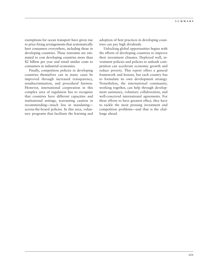exemptions for ocean transport have given rise to price-fixing arrangements that systematically hurt consumers everywhere, including those in developing countries. These restraints are estimated to cost developing countries more than \$2 billion per year and entail similar costs to consumers in industrial economies.

Finally, competition policies in developing countries themselves can in many cases be improved through increased transparency, nondiscrimination, and procedural fairness. However, international cooperation in this complex area of regulation has to recognize that countries have different capacities and institutional settings, warranting caution in recommending—much less in mandating across-the-board policies. In this area, voluntary programs that facilitate the learning and

adoption of best practices in developing countries can pay high dividends.

Unlocking global opportunities begins with the efforts of developing countries to improve their investment climates. Deployed well, investment policies and policies to unleash competition can accelerate economic growth and reduce poverty. This report offers a general framework and lessons, but each country has to formulate its own development strategy. Nonetheless, the international community, working together, can help through development assistance, voluntary collaboration, and well-conceived international agreements. For these efforts to have greatest effect, they have to tackle the most pressing investment and competition problems—and that is the challenge ahead.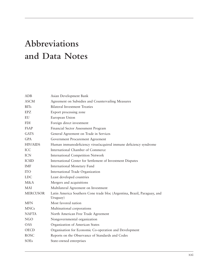# **Abbreviations and Data Notes**

| ADB             | Asian Development Bank                                                               |
|-----------------|--------------------------------------------------------------------------------------|
| <b>ASCM</b>     | Agreement on Subsidies and Countervailing Measures                                   |
| <b>BITs</b>     | <b>Bilateral Investment Treaties</b>                                                 |
| <b>EPZ</b>      | Export processing zone                                                               |
| EU              | European Union                                                                       |
| <b>FDI</b>      | Foreign direct investment                                                            |
| <b>FSAP</b>     | Financial Sector Assessment Program                                                  |
| <b>GATS</b>     | General Agreement on Trade in Services                                               |
| <b>GPA</b>      | Government Procurement Agreement                                                     |
| <b>HIV/AIDS</b> | Human immunodeficiency virus/acquired immune deficiency syndrome                     |
| <b>ICC</b>      | International Chamber of Commerce                                                    |
| <b>ICN</b>      | <b>International Competition Network</b>                                             |
| <b>ICSID</b>    | International Center for Settlement of Investment Disputes                           |
| <b>IMF</b>      | International Monetary Fund                                                          |
| <b>ITO</b>      | International Trade Organization                                                     |
| <b>LDC</b>      | Least developed countries                                                            |
| M&A             | Mergers and acquisitions                                                             |
| <b>MAI</b>      | Multilateral Agreement on Investment                                                 |
| <b>MERCUSOR</b> | Latin America Southern Cone trade bloc (Argentina, Brazil, Paraguay, and<br>Uruguay) |
| <b>MFN</b>      | Most favored nation                                                                  |
| <b>MNCs</b>     | Multinational corporations                                                           |
| <b>NAFTA</b>    | North American Free Trade Agreement                                                  |
| <b>NGO</b>      | Nongovernmental organization                                                         |
| OAS             | Organization of American States                                                      |
| <b>OECD</b>     | Organisation for Economic Co-operation and Development                               |
| <b>ROSC</b>     | Reports on the Observance of Standards and Codes                                     |
| SOEs            | State-owned enterprises                                                              |
|                 |                                                                                      |